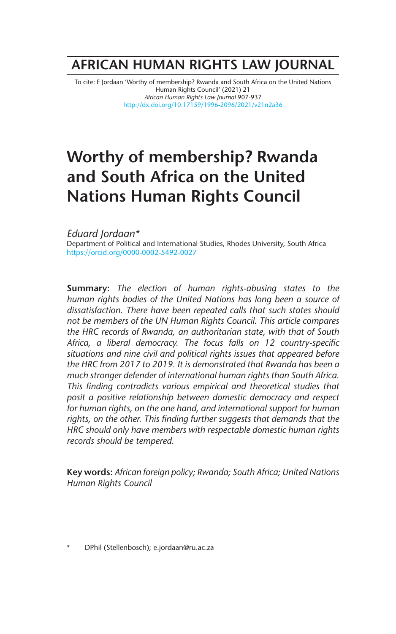## **AFRICAN HUMAN RIGHTS LAW JOURNAL**

To cite: E Jordaan 'Worthy of membership? Rwanda and South Africa on the United Nations Human Rights Council' (2021) 21 *African Human Rights Law Journal* 907-937 http://dx.doi.org/10.17159/1996-2096/2021/v21n2a36

# **Worthy of membership? Rwanda and South Africa on the United Nations Human Rights Council**

*Eduard Jordaan\** Department of Political and International Studies, Rhodes University, South Africa https://orcid.org/0000-0002-5492-0027

**Summary:** *The election of human rights-abusing states to the human rights bodies of the United Nations has long been a source of dissatisfaction. There have been repeated calls that such states should not be members of the UN Human Rights Council. This article compares the HRC records of Rwanda, an authoritarian state, with that of South Africa, a liberal democracy. The focus falls on 12 country-specific situations and nine civil and political rights issues that appeared before the HRC from 2017 to 2019. It is demonstrated that Rwanda has been a much stronger defender of international human rights than South Africa. This finding contradicts various empirical and theoretical studies that posit a positive relationship between domestic democracy and respect for human rights, on the one hand, and international support for human rights, on the other. This finding further suggests that demands that the HRC should only have members with respectable domestic human rights records should be tempered.* 

**Key words:** *African foreign policy; Rwanda; South Africa; United Nations Human Rights Council*

\* DPhil (Stellenbosch); e.jordaan@ru.ac.za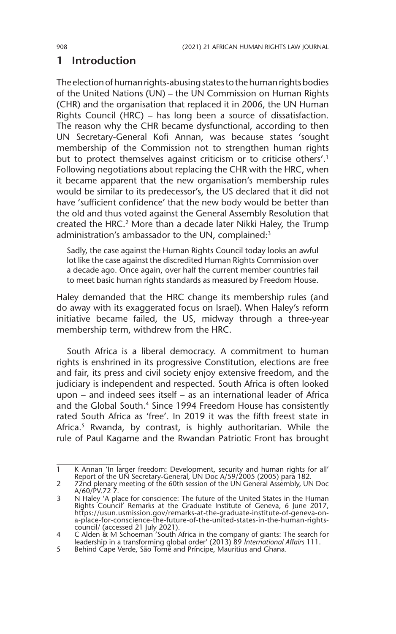### **1 Introduction**

The election of human rights-abusing states to the human rights bodies of the United Nations (UN) – the UN Commission on Human Rights (CHR) and the organisation that replaced it in 2006, the UN Human Rights Council (HRC) – has long been a source of dissatisfaction. The reason why the CHR became dysfunctional, according to then UN Secretary-General Kofi Annan, was because states 'sought membership of the Commission not to strengthen human rights but to protect themselves against criticism or to criticise others'.<sup>1</sup> Following negotiations about replacing the CHR with the HRC, when it became apparent that the new organisation's membership rules would be similar to its predecessor's, the US declared that it did not have 'sufficient confidence' that the new body would be better than the old and thus voted against the General Assembly Resolution that created the HRC.<sup>2</sup> More than a decade later Nikki Haley, the Trump administration's ambassador to the UN, complained:<sup>3</sup>

Sadly, the case against the Human Rights Council today looks an awful lot like the case against the discredited Human Rights Commission over a decade ago. Once again, over half the current member countries fail to meet basic human rights standards as measured by Freedom House.

Haley demanded that the HRC change its membership rules (and do away with its exaggerated focus on Israel). When Haley's reform initiative became failed, the US, midway through a three-year membership term, withdrew from the HRC.

South Africa is a liberal democracy. A commitment to human rights is enshrined in its progressive Constitution, elections are free and fair, its press and civil society enjoy extensive freedom, and the judiciary is independent and respected. South Africa is often looked upon – and indeed sees itself – as an international leader of Africa and the Global South.<sup>4</sup> Since 1994 Freedom House has consistently rated South Africa as 'free'. In 2019 it was the fifth freest state in Africa.<sup>5</sup> Rwanda, by contrast, is highly authoritarian. While the rule of Paul Kagame and the Rwandan Patriotic Front has brought

<sup>1</sup> K Annan 'In larger freedom: Development, security and human rights for all' Report of the UN Secretary-General, UN Doc A/59/2005 (2005) para 182.

<sup>2 72</sup>nd plenary meeting of the 60th session of the UN General Assembly, UN Doc A/60/PV.72 7.

<sup>3</sup> N Haley 'A place for conscience: The future of the United States in the Human Rights Council' Remarks at the Graduate Institute of Geneva, 6 June 2017, https://usun.usmission.gov/remarks-at-the-graduate-institute-of-geneva-on-a-place-for-conscience-the-future-of-the-united-states-in-the-human-rightscouncil/ (accessed 21 July 2021).

<sup>4</sup> C Alden & M Schoeman 'South Africa in the company of giants: The search for leadership in a transforming global order' (2013) 89 *International Affairs* 111.

<sup>5</sup> Behind Cape Verde, São Tomé and Príncipe, Mauritius and Ghana.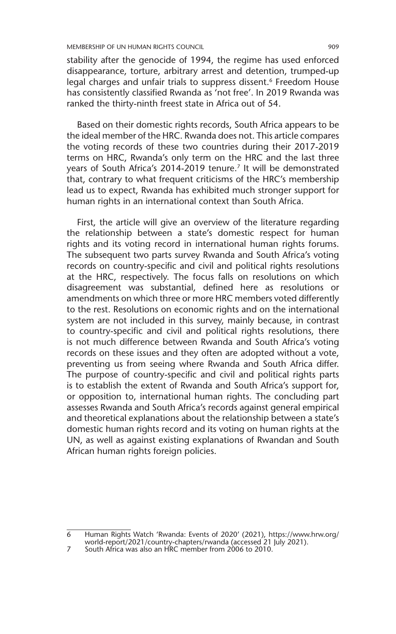stability after the genocide of 1994, the regime has used enforced disappearance, torture, arbitrary arrest and detention, trumped-up legal charges and unfair trials to suppress dissent.<sup>6</sup> Freedom House has consistently classified Rwanda as 'not free'. In 2019 Rwanda was ranked the thirty-ninth freest state in Africa out of 54.

Based on their domestic rights records, South Africa appears to be the ideal member of the HRC. Rwanda does not. This article compares the voting records of these two countries during their 2017-2019 terms on HRC, Rwanda's only term on the HRC and the last three years of South Africa's 2014-2019 tenure.<sup>7</sup> It will be demonstrated that, contrary to what frequent criticisms of the HRC's membership lead us to expect, Rwanda has exhibited much stronger support for human rights in an international context than South Africa.

First, the article will give an overview of the literature regarding the relationship between a state's domestic respect for human rights and its voting record in international human rights forums. The subsequent two parts survey Rwanda and South Africa's voting records on country-specific and civil and political rights resolutions at the HRC, respectively. The focus falls on resolutions on which disagreement was substantial, defined here as resolutions or amendments on which three or more HRC members voted differently to the rest. Resolutions on economic rights and on the international system are not included in this survey, mainly because, in contrast to country-specific and civil and political rights resolutions, there is not much difference between Rwanda and South Africa's voting records on these issues and they often are adopted without a vote, preventing us from seeing where Rwanda and South Africa differ. The purpose of country-specific and civil and political rights parts is to establish the extent of Rwanda and South Africa's support for, or opposition to, international human rights. The concluding part assesses Rwanda and South Africa's records against general empirical and theoretical explanations about the relationship between a state's domestic human rights record and its voting on human rights at the UN, as well as against existing explanations of Rwandan and South African human rights foreign policies.

<sup>6</sup> Human Rights Watch 'Rwanda: Events of 2020' (2021), https://www.hrw.org/ world-report/2021/country-chapters/rwanda (accessed 21 July 2021).

<sup>7</sup> South Africa was also an HRC member from 2006 to 2010.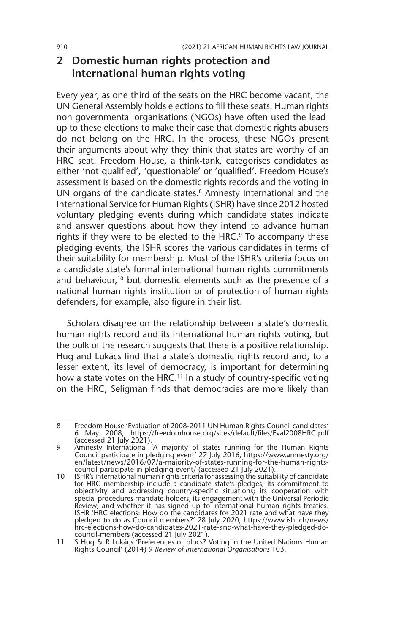#### **2 Domestic human rights protection and international human rights voting**

Every year, as one-third of the seats on the HRC become vacant, the UN General Assembly holds elections to fill these seats. Human rights non-governmental organisations (NGOs) have often used the leadup to these elections to make their case that domestic rights abusers do not belong on the HRC. In the process, these NGOs present their arguments about why they think that states are worthy of an HRC seat. Freedom House, a think-tank, categorises candidates as either 'not qualified', 'questionable' or 'qualified'. Freedom House's assessment is based on the domestic rights records and the voting in UN organs of the candidate states.<sup>8</sup> Amnesty International and the International Service for Human Rights (ISHR) have since 2012 hosted voluntary pledging events during which candidate states indicate and answer questions about how they intend to advance human rights if they were to be elected to the HRC.<sup>9</sup> To accompany these pledging events, the ISHR scores the various candidates in terms of their suitability for membership. Most of the ISHR's criteria focus on a candidate state's formal international human rights commitments and behaviour,<sup>10</sup> but domestic elements such as the presence of a national human rights institution or of protection of human rights defenders, for example, also figure in their list.

Scholars disagree on the relationship between a state's domestic human rights record and its international human rights voting, but the bulk of the research suggests that there is a positive relationship. Hug and Lukács find that a state's domestic rights record and, to a lesser extent, its level of democracy, is important for determining how a state votes on the HRC.<sup>11</sup> In a study of country-specific voting on the HRC, Seligman finds that democracies are more likely than

<sup>8</sup> Freedom House 'Evaluation of 2008-2011 UN Human Rights Council candidates' 6 May 2008, https://freedomhouse.org/sites/default/files/Eval2008HRC.pdf (accessed 21 July 2021).

<sup>9</sup> Amnesty International 'A majority of states running for the Human Rights Council participate in pledging event' 27 July 2016, https://www.amnesty.org/ en/latest/news/2016/07/a-majority-of-states-running-for-the-human-rightscouncil-participate-in-pledging-event/ (accessed 21 July 2021).

<sup>10</sup> ISHR's international human rights criteria for assessing the suitability of candidate for HRC membership include a candidate state's pledges; its commitment to objectivity and addressing country-specific situations; its cooperation with special procedures mandate holders; its engagement with the Universal Periodic Review; and whether it has signed up to international human rights treaties. ISHR 'HRC elections: How do the candidates for 2021 rate and what have they pledged to do as Council members?' 28 July 2020, https://www.ishr.ch/news/ hrc-elections-how-do-candidates-2021-rate-and-what-have-they-pledged-docouncil-members (accessed 21 July 2021).

<sup>11</sup> S Hug & R Lukács 'Preferences or blocs? Voting in the United Nations Human Rights Council' (2014) 9 *Review of International Organisations* 103.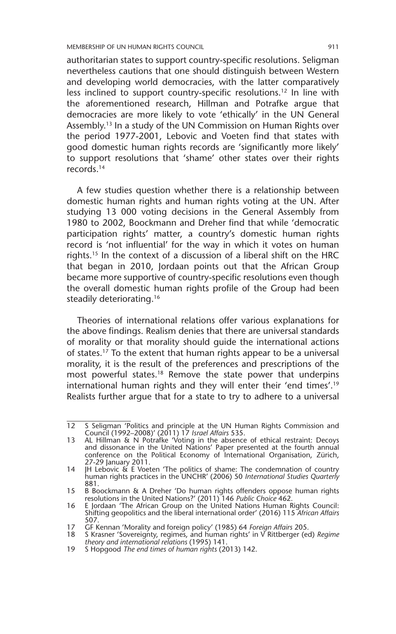MEMBERSHIP OF UN HUMAN RIGHTS COUNCIL 911

authoritarian states to support country-specific resolutions. Seligman nevertheless cautions that one should distinguish between Western and developing world democracies, with the latter comparatively less inclined to support country-specific resolutions.<sup>12</sup> In line with the aforementioned research, Hillman and Potrafke argue that democracies are more likely to vote 'ethically' in the UN General Assembly.13 In a study of the UN Commission on Human Rights over the period 1977-2001, Lebovic and Voeten find that states with good domestic human rights records are 'significantly more likely' to support resolutions that 'shame' other states over their rights records.14

A few studies question whether there is a relationship between domestic human rights and human rights voting at the UN. After studying 13 000 voting decisions in the General Assembly from 1980 to 2002, Boockmann and Dreher find that while 'democratic participation rights' matter, a country's domestic human rights record is 'not influential' for the way in which it votes on human rights.15 In the context of a discussion of a liberal shift on the HRC that began in 2010, Jordaan points out that the African Group became more supportive of country-specific resolutions even though the overall domestic human rights profile of the Group had been steadily deteriorating.<sup>16</sup>

Theories of international relations offer various explanations for the above findings. Realism denies that there are universal standards of morality or that morality should guide the international actions of states.<sup>17</sup> To the extent that human rights appear to be a universal morality, it is the result of the preferences and prescriptions of the most powerful states.<sup>18</sup> Remove the state power that underpins international human rights and they will enter their 'end times'.19 Realists further argue that for a state to try to adhere to a universal

<sup>12</sup> S Seligman 'Politics and principle at the UN Human Rights Commission and Council (1992–2008)' (2011) 17 *Israel Affairs* 535.

<sup>13</sup> AL Hillman & N Potrafke 'Voting in the absence of ethical restraint: Decoys and dissonance in the United Nations' Paper presented at the fourth annual conference on the Political Economy of International Organisation, Zürich, 27-29 January 2011.

<sup>14</sup> JH Lebovic & E Voeten 'The politics of shame: The condemnation of country human rights practices in the UNCHR' (2006) 50 *International Studies Quarterly* 881.

<sup>15</sup> B Boockmann & A Dreher 'Do human rights offenders oppose human rights resolutions in the United Nations?' (2011) 146 *Public Choice* 462.

<sup>16</sup> E Jordaan 'The African Group on the United Nations Human Rights Council: Shifting geopolitics and the liberal international order' (2016) 115 *African Affairs* 507.

<sup>17</sup> GF Kennan 'Morality and foreign policy' (1985) 64 *Foreign Affairs* 205.

<sup>18</sup> S Krasner 'Sovereignty, regimes, and human rights' in V Rittberger (ed) *Regime theory and international relations* (1995) 141.

<sup>19</sup> S Hopgood *The end times of human rights* (2013) 142.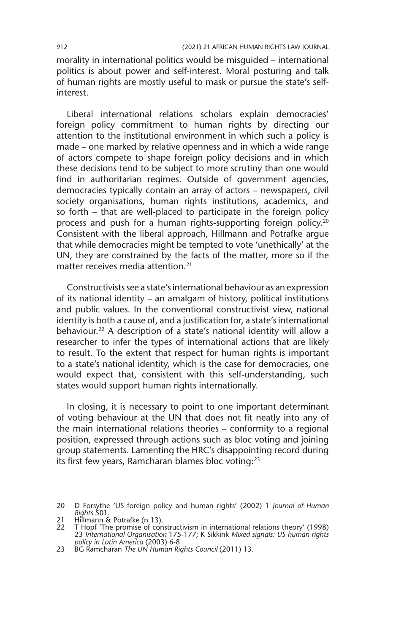morality in international politics would be misguided – international politics is about power and self-interest. Moral posturing and talk of human rights are mostly useful to mask or pursue the state's selfinterest.

Liberal international relations scholars explain democracies' foreign policy commitment to human rights by directing our attention to the institutional environment in which such a policy is made – one marked by relative openness and in which a wide range of actors compete to shape foreign policy decisions and in which these decisions tend to be subject to more scrutiny than one would find in authoritarian regimes. Outside of government agencies, democracies typically contain an array of actors – newspapers, civil society organisations, human rights institutions, academics, and so forth – that are well-placed to participate in the foreign policy process and push for a human rights-supporting foreign policy.<sup>20</sup> Consistent with the liberal approach, Hillmann and Potrafke argue that while democracies might be tempted to vote 'unethically' at the UN, they are constrained by the facts of the matter, more so if the matter receives media attention.21

Constructivists see a state's international behaviour as an expression of its national identity – an amalgam of history, political institutions and public values. In the conventional constructivist view, national identity is both a cause of, and a justification for, a state's international behaviour.<sup>22</sup> A description of a state's national identity will allow a researcher to infer the types of international actions that are likely to result. To the extent that respect for human rights is important to a state's national identity, which is the case for democracies, one would expect that, consistent with this self-understanding, such states would support human rights internationally.

In closing, it is necessary to point to one important determinant of voting behaviour at the UN that does not fit neatly into any of the main international relations theories – conformity to a regional position, expressed through actions such as bloc voting and joining group statements. Lamenting the HRC's disappointing record during its first few years, Ramcharan blames bloc voting:<sup>23</sup>

<sup>20</sup> D Forsythe 'US foreign policy and human rights' (2002) 1 *Journal of Human Rights* 501.

<sup>21</sup> Hillmann & Potrafke (n 13).

<sup>22</sup> T Hopf 'The promise of constructivism in international relations theory' (1998) 23 *International Organisation* 175-177; K Sikkink *Mixed signals: US human rights policy in Latin America* (2003) 6-8.

<sup>23</sup> BG Ramcharan *The UN Human Rights Council* (2011) 13.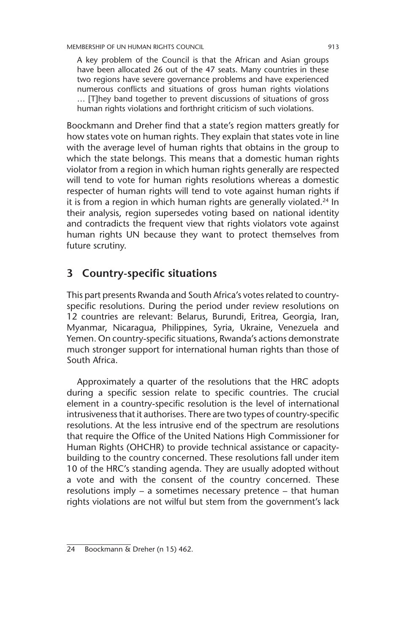A key problem of the Council is that the African and Asian groups have been allocated 26 out of the 47 seats. Many countries in these two regions have severe governance problems and have experienced numerous conflicts and situations of gross human rights violations … [T]hey band together to prevent discussions of situations of gross human rights violations and forthright criticism of such violations.

Boockmann and Dreher find that a state's region matters greatly for how states vote on human rights. They explain that states vote in line with the average level of human rights that obtains in the group to which the state belongs. This means that a domestic human rights violator from a region in which human rights generally are respected will tend to vote for human rights resolutions whereas a domestic respecter of human rights will tend to vote against human rights if it is from a region in which human rights are generally violated.<sup>24</sup> In their analysis, region supersedes voting based on national identity and contradicts the frequent view that rights violators vote against human rights UN because they want to protect themselves from future scrutiny.

#### **3 Country-specific situations**

This part presents Rwanda and South Africa's votes related to countryspecific resolutions. During the period under review resolutions on 12 countries are relevant: Belarus, Burundi, Eritrea, Georgia, Iran, Myanmar, Nicaragua, Philippines, Syria, Ukraine, Venezuela and Yemen. On country-specific situations, Rwanda's actions demonstrate much stronger support for international human rights than those of South Africa.

Approximately a quarter of the resolutions that the HRC adopts during a specific session relate to specific countries. The crucial element in a country-specific resolution is the level of international intrusiveness that it authorises. There are two types of country-specific resolutions. At the less intrusive end of the spectrum are resolutions that require the Office of the United Nations High Commissioner for Human Rights (OHCHR) to provide technical assistance or capacitybuilding to the country concerned. These resolutions fall under item 10 of the HRC's standing agenda. They are usually adopted without a vote and with the consent of the country concerned. These resolutions imply – a sometimes necessary pretence – that human rights violations are not wilful but stem from the government's lack

<sup>24</sup> Boockmann & Dreher (n 15) 462.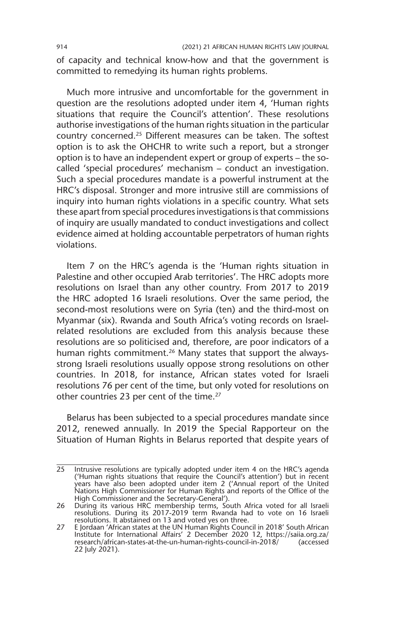of capacity and technical know-how and that the government is committed to remedying its human rights problems.

Much more intrusive and uncomfortable for the government in question are the resolutions adopted under item 4, 'Human rights situations that require the Council's attention'. These resolutions authorise investigations of the human rights situation in the particular country concerned.25 Different measures can be taken. The softest option is to ask the OHCHR to write such a report, but a stronger option is to have an independent expert or group of experts – the socalled 'special procedures' mechanism – conduct an investigation. Such a special procedures mandate is a powerful instrument at the HRC's disposal. Stronger and more intrusive still are commissions of inquiry into human rights violations in a specific country. What sets these apart from special procedures investigations is that commissions of inquiry are usually mandated to conduct investigations and collect evidence aimed at holding accountable perpetrators of human rights violations.

Item 7 on the HRC's agenda is the 'Human rights situation in Palestine and other occupied Arab territories'. The HRC adopts more resolutions on Israel than any other country. From 2017 to 2019 the HRC adopted 16 Israeli resolutions. Over the same period, the second-most resolutions were on Syria (ten) and the third-most on Myanmar (six). Rwanda and South Africa's voting records on Israelrelated resolutions are excluded from this analysis because these resolutions are so politicised and, therefore, are poor indicators of a human rights commitment.<sup>26</sup> Many states that support the alwaysstrong Israeli resolutions usually oppose strong resolutions on other countries. In 2018, for instance, African states voted for Israeli resolutions 76 per cent of the time, but only voted for resolutions on other countries 23 per cent of the time.<sup>27</sup>

Belarus has been subjected to a special procedures mandate since 2012, renewed annually. In 2019 the Special Rapporteur on the Situation of Human Rights in Belarus reported that despite years of

<sup>25</sup> Intrusive resolutions are typically adopted under item 4 on the HRC's agenda ('Human rights situations that require the Council's attention') but in recent years have also been adopted under item 2 ('Annual report of the United Nations High Commissioner for Human Rights and reports of the Office of the High Commissioner and the Secretary-General').

<sup>26</sup> During its various HRC membership terms, South Africa voted for all Israeli resolutions. During its 2017-2019 term Rwanda had to vote on 16 Israeli resolutions. It abstained on 13 and voted yes on three.

<sup>27</sup> E Jordaan 'African states at the UN Human Rights Council in 2018' South African Institute for International Affairs' 2 December 2020 12, https://saiia.org.za/ research/african-states-at-the-un-human-rights-council-in-2018/ (accessed 22 July 2021).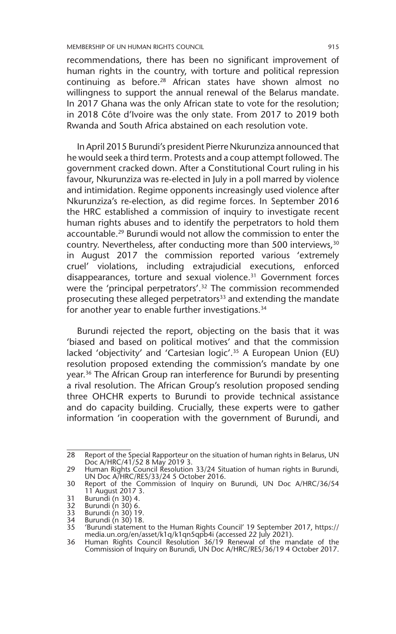recommendations, there has been no significant improvement of human rights in the country, with torture and political repression continuing as before.28 African states have shown almost no willingness to support the annual renewal of the Belarus mandate. In 2017 Ghana was the only African state to vote for the resolution; in 2018 Côte d'Ivoire was the only state. From 2017 to 2019 both Rwanda and South Africa abstained on each resolution vote.

In April 2015 Burundi's president Pierre Nkurunziza announced that he would seek a third term. Protests and a coup attempt followed. The government cracked down. After a Constitutional Court ruling in his favour, Nkurunziza was re-elected in July in a poll marred by violence and intimidation. Regime opponents increasingly used violence after Nkurunziza's re-election, as did regime forces. In September 2016 the HRC established a commission of inquiry to investigate recent human rights abuses and to identify the perpetrators to hold them accountable.29 Burundi would not allow the commission to enter the country. Nevertheless, after conducting more than 500 interviews, 30 in August 2017 the commission reported various 'extremely cruel' violations, including extrajudicial executions, enforced disappearances, torture and sexual violence.31 Government forces were the 'principal perpetrators'.32 The commission recommended prosecuting these alleged perpetrators<sup>33</sup> and extending the mandate for another year to enable further investigations.<sup>34</sup>

Burundi rejected the report, objecting on the basis that it was 'biased and based on political motives' and that the commission lacked 'objectivity' and 'Cartesian logic'.<sup>35</sup> A European Union (EU) resolution proposed extending the commission's mandate by one year.36 The African Group ran interference for Burundi by presenting a rival resolution. The African Group's resolution proposed sending three OHCHR experts to Burundi to provide technical assistance and do capacity building. Crucially, these experts were to gather information 'in cooperation with the government of Burundi, and

<sup>28</sup> Report of the Special Rapporteur on the situation of human rights in Belarus, UN Doc A/HRC/41/52 8 May 2019 3.

<sup>29</sup> Human Rights Council Resolution 33/24 Situation of human rights in Burundi, UN Doc A/HRC/RES/33/24 5 October 2016.

<sup>30</sup> Report of the Commission of Inquiry on Burundi, UN Doc A/HRC/36/54 11 August 2017 3.

<sup>31</sup> Burundi (n 30) 4.

<sup>32</sup> Burundi (n 30) 6.

<sup>33</sup> Burundi (n 30) 19. 34 Burundi (n 30) 18.

<sup>35</sup> 'Burundi statement to the Human Rights Council' 19 September 2017, https:// media.un.org/en/asset/k1q/k1qn5qpb4i (accessed 22 July 2021).

<sup>36</sup> Human Rights Council Resolution 36/19 Renewal of the mandate of the Commission of Inquiry on Burundi, UN Doc A/HRC/RES/36/19 4 October 2017.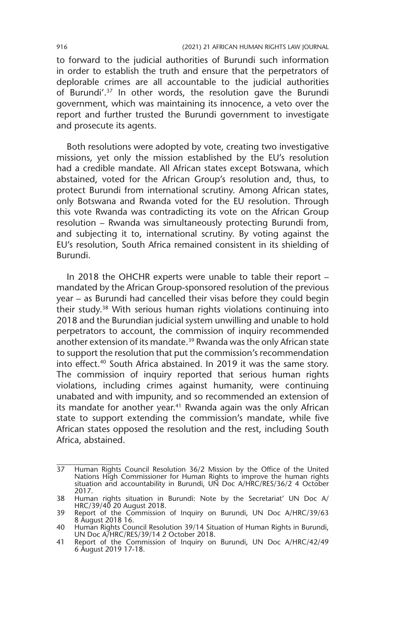to forward to the judicial authorities of Burundi such information in order to establish the truth and ensure that the perpetrators of deplorable crimes are all accountable to the judicial authorities of Burundi'.<sup>37</sup> In other words, the resolution gave the Burundi government, which was maintaining its innocence, a veto over the report and further trusted the Burundi government to investigate and prosecute its agents.

Both resolutions were adopted by vote, creating two investigative missions, yet only the mission established by the EU's resolution had a credible mandate. All African states except Botswana, which abstained, voted for the African Group's resolution and, thus, to protect Burundi from international scrutiny. Among African states, only Botswana and Rwanda voted for the EU resolution. Through this vote Rwanda was contradicting its vote on the African Group resolution – Rwanda was simultaneously protecting Burundi from, and subjecting it to, international scrutiny. By voting against the EU's resolution, South Africa remained consistent in its shielding of Burundi.

In 2018 the OHCHR experts were unable to table their report – mandated by the African Group-sponsored resolution of the previous year – as Burundi had cancelled their visas before they could begin their study.38 With serious human rights violations continuing into 2018 and the Burundian judicial system unwilling and unable to hold perpetrators to account, the commission of inquiry recommended another extension of its mandate.<sup>39</sup> Rwanda was the only African state to support the resolution that put the commission's recommendation into effect.<sup>40</sup> South Africa abstained. In 2019 it was the same story. The commission of inquiry reported that serious human rights violations, including crimes against humanity, were continuing unabated and with impunity, and so recommended an extension of its mandate for another year.<sup>41</sup> Rwanda again was the only African state to support extending the commission's mandate, while five African states opposed the resolution and the rest, including South Africa, abstained.

<sup>37</sup> Human Rights Council Resolution 36/2 Mission by the Office of the United Nations High Commissioner for Human Rights to improve the human rights situation and accountability in Burundi, UN Doc A/HRC/RES/36/2 4 October 2017.

<sup>38</sup> Human rights situation in Burundi: Note by the Secretariat' UN Doc A/ HRC/39/40 20 August 2018.

<sup>39</sup> Report of the Commission of Inquiry on Burundi, UN Doc A/HRC/39/63 8 August 2018 16.

<sup>40</sup> Human Rights Council Resolution 39/14 Situation of Human Rights in Burundi, UN Doc A/HRC/RES/39/14 2 October 2018.

<sup>41</sup> Report of the Commission of Inquiry on Burundi, UN Doc A/HRC/42/49 6 August 2019 17-18.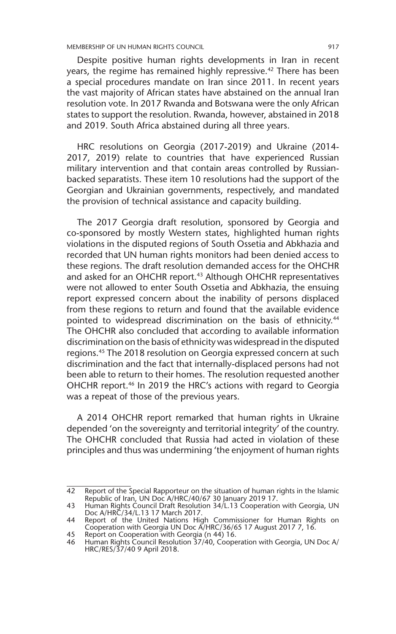MEMBERSHIP OF UN HUMAN RIGHTS COUNCIL 917

Despite positive human rights developments in Iran in recent years, the regime has remained highly repressive.<sup>42</sup> There has been a special procedures mandate on Iran since 2011. In recent years the vast majority of African states have abstained on the annual Iran resolution vote. In 2017 Rwanda and Botswana were the only African states to support the resolution. Rwanda, however, abstained in 2018 and 2019. South Africa abstained during all three years.

HRC resolutions on Georgia (2017-2019) and Ukraine (2014- 2017, 2019) relate to countries that have experienced Russian military intervention and that contain areas controlled by Russianbacked separatists. These item 10 resolutions had the support of the Georgian and Ukrainian governments, respectively, and mandated the provision of technical assistance and capacity building.

The 2017 Georgia draft resolution, sponsored by Georgia and co-sponsored by mostly Western states, highlighted human rights violations in the disputed regions of South Ossetia and Abkhazia and recorded that UN human rights monitors had been denied access to these regions. The draft resolution demanded access for the OHCHR and asked for an OHCHR report.<sup>43</sup> Although OHCHR representatives were not allowed to enter South Ossetia and Abkhazia, the ensuing report expressed concern about the inability of persons displaced from these regions to return and found that the available evidence pointed to widespread discrimination on the basis of ethnicity.<sup>44</sup> The OHCHR also concluded that according to available information discrimination on the basis of ethnicity was widespread in the disputed regions.<sup>45</sup> The 2018 resolution on Georgia expressed concern at such discrimination and the fact that internally-displaced persons had not been able to return to their homes. The resolution requested another OHCHR report.46 In 2019 the HRC's actions with regard to Georgia was a repeat of those of the previous years.

A 2014 OHCHR report remarked that human rights in Ukraine depended 'on the sovereignty and territorial integrity' of the country. The OHCHR concluded that Russia had acted in violation of these principles and thus was undermining 'the enjoyment of human rights

<sup>42</sup> Report of the Special Rapporteur on the situation of human rights in the Islamic Republic of Iran, UN Doc A/HRC/40/67 30 January 2019 17.

<sup>43</sup> Human Rights Council Draft Resolution 34/L.13 Cooperation with Georgia, UN

Doc A/HRC/34/L.13 17 March 2017. 44 Report of the United Nations High Commissioner for Human Rights on Cooperation with Georgia UN Doc A/HRC/36/65 17 August 2017 7, 16.

<sup>45</sup> Report on Cooperation with Georgia (n 44) 16.

<sup>46</sup> Human Rights Council Resolution 37/40, Cooperation with Georgia, UN Doc A/ HRC/RES/37/40 9 April 2018.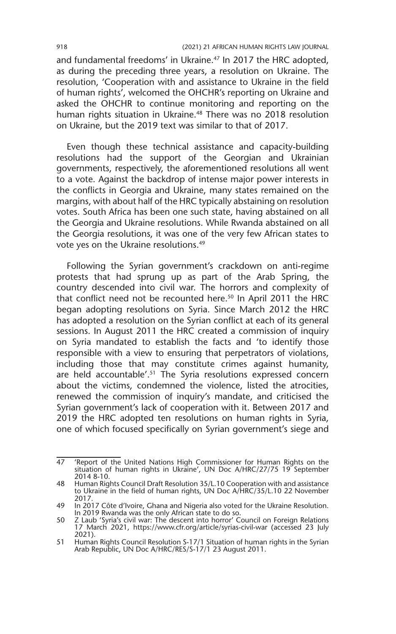and fundamental freedoms' in Ukraine.47 In 2017 the HRC adopted, as during the preceding three years, a resolution on Ukraine. The resolution, 'Cooperation with and assistance to Ukraine in the field of human rights', welcomed the OHCHR's reporting on Ukraine and asked the OHCHR to continue monitoring and reporting on the human rights situation in Ukraine.<sup>48</sup> There was no 2018 resolution on Ukraine, but the 2019 text was similar to that of 2017.

Even though these technical assistance and capacity-building resolutions had the support of the Georgian and Ukrainian governments, respectively, the aforementioned resolutions all went to a vote. Against the backdrop of intense major power interests in the conflicts in Georgia and Ukraine, many states remained on the margins, with about half of the HRC typically abstaining on resolution votes. South Africa has been one such state, having abstained on all the Georgia and Ukraine resolutions. While Rwanda abstained on all the Georgia resolutions, it was one of the very few African states to vote yes on the Ukraine resolutions.49

Following the Syrian government's crackdown on anti-regime protests that had sprung up as part of the Arab Spring, the country descended into civil war. The horrors and complexity of that conflict need not be recounted here.<sup>50</sup> In April 2011 the HRC began adopting resolutions on Syria. Since March 2012 the HRC has adopted a resolution on the Syrian conflict at each of its general sessions. In August 2011 the HRC created a commission of inquiry on Syria mandated to establish the facts and 'to identify those responsible with a view to ensuring that perpetrators of violations, including those that may constitute crimes against humanity, are held accountable'.<sup>51</sup> The Syria resolutions expressed concern about the victims, condemned the violence, listed the atrocities, renewed the commission of inquiry's mandate, and criticised the Syrian government's lack of cooperation with it. Between 2017 and 2019 the HRC adopted ten resolutions on human rights in Syria, one of which focused specifically on Syrian government's siege and

<sup>47</sup> 'Report of the United Nations High Commissioner for Human Rights on the situation of human rights in Ukraine', UN Doc A/HRC/27/75 19 September 2014 8-10.

<sup>48</sup> Human Rights Council Draft Resolution 35/L.10 Cooperation with and assistance to Ukraine in the field of human rights, UN Doc A/HRC/35/L.10 22 November 2017.

<sup>49</sup> In 2017 Côte d'Ivoire, Ghana and Nigeria also voted for the Ukraine Resolution.

In 2019 Rwanda was the only African state to do so. 50 Z Laub 'Syria's civil war: The descent into horror' Council on Foreign Relations 17 March 2021, https://www.cfr.org/article/syrias-civil-war (accessed 23 July 2021).

<sup>51</sup> Human Rights Council Resolution S-17/1 Situation of human rights in the Syrian Arab Republic, UN Doc A/HRC/RES/S-17/1 23 August 2011.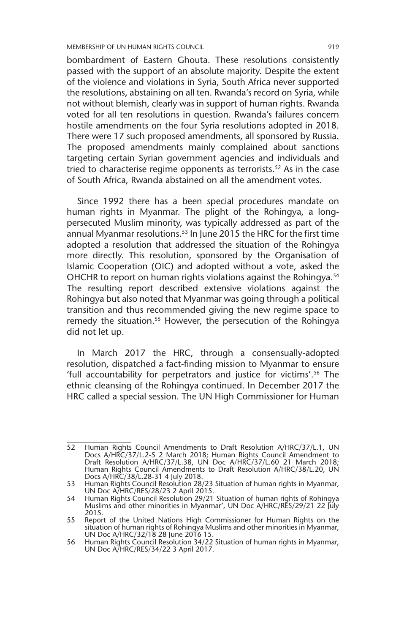MEMBERSHIP OF UN HUMAN RIGHTS COUNCIL 919

bombardment of Eastern Ghouta. These resolutions consistently passed with the support of an absolute majority. Despite the extent of the violence and violations in Syria, South Africa never supported the resolutions, abstaining on all ten. Rwanda's record on Syria, while not without blemish, clearly was in support of human rights. Rwanda voted for all ten resolutions in question. Rwanda's failures concern hostile amendments on the four Syria resolutions adopted in 2018. There were 17 such proposed amendments, all sponsored by Russia. The proposed amendments mainly complained about sanctions targeting certain Syrian government agencies and individuals and tried to characterise regime opponents as terrorists.<sup>52</sup> As in the case of South Africa, Rwanda abstained on all the amendment votes.

Since 1992 there has a been special procedures mandate on human rights in Myanmar. The plight of the Rohingya, a longpersecuted Muslim minority, was typically addressed as part of the annual Myanmar resolutions.<sup>53</sup> In June 2015 the HRC for the first time adopted a resolution that addressed the situation of the Rohingya more directly. This resolution, sponsored by the Organisation of Islamic Cooperation (OIC) and adopted without a vote, asked the OHCHR to report on human rights violations against the Rohingya.<sup>54</sup> The resulting report described extensive violations against the Rohingya but also noted that Myanmar was going through a political transition and thus recommended giving the new regime space to remedy the situation.<sup>55</sup> However, the persecution of the Rohingya did not let up.

In March 2017 the HRC, through a consensually-adopted resolution, dispatched a fact-finding mission to Myanmar to ensure 'full accountability for perpetrators and justice for victims'.56 The ethnic cleansing of the Rohingya continued. In December 2017 the HRC called a special session. The UN High Commissioner for Human

<sup>52</sup> Human Rights Council Amendments to Draft Resolution A/HRC/37/L.1, UN Docs A/HRC/37/L.2-5 2 March 2018; Human Rights Council Amendment to Draft Resolution A/HRC/37/L.38, UN Doc A/HRC/37/L.60 21 March 2018; Human Rights Council Amendments to Draft Resolution A/HRC/38/L.20, UN Docs A/HRC/38/L.28-31 4 July 2018.

<sup>53</sup> Human Rights Council Resolution 28/23 Situation of human rights in Myanmar, UN Doc A/HRC/RES/28/23 2 April 2015.

<sup>54</sup> Human Rights Council Resolution 29/21 Situation of human rights of Rohingya Muslims and other minorities in Myanmar', UN Doc A/HRC/RES/29/21 22 July 2015.

<sup>55</sup> Report of the United Nations High Commissioner for Human Rights on the situation of human rights of Rohingya Muslims and other minorities in Myanmar, UN Doc A/HRC/32/18 28 June 2016 15.

<sup>56</sup> Human Rights Council Resolution 34/22 Situation of human rights in Myanmar, UN Doc A/HRC/RES/34/22 3 April 2017.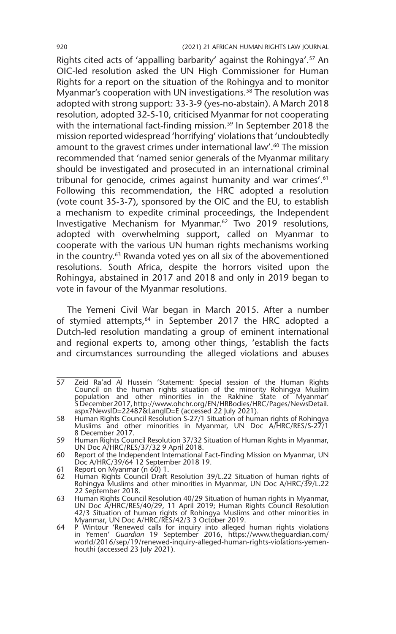Rights cited acts of 'appalling barbarity' against the Rohingya'.<sup>57</sup> An OIC-led resolution asked the UN High Commissioner for Human Rights for a report on the situation of the Rohingya and to monitor Myanmar's cooperation with UN investigations.<sup>58</sup> The resolution was adopted with strong support: 33-3-9 (yes-no-abstain). A March 2018 resolution, adopted 32-5-10, criticised Myanmar for not cooperating with the international fact-finding mission.<sup>59</sup> In September 2018 the mission reported widespread 'horrifying' violations that 'undoubtedly amount to the gravest crimes under international law'.<sup>60</sup> The mission recommended that 'named senior generals of the Myanmar military should be investigated and prosecuted in an international criminal tribunal for genocide, crimes against humanity and war crimes'.<sup>61</sup> Following this recommendation, the HRC adopted a resolution (vote count 35-3-7), sponsored by the OIC and the EU, to establish a mechanism to expedite criminal proceedings, the Independent Investigative Mechanism for Myanmar.62 Two 2019 resolutions, adopted with overwhelming support, called on Myanmar to cooperate with the various UN human rights mechanisms working in the country.63 Rwanda voted yes on all six of the abovementioned resolutions. South Africa, despite the horrors visited upon the Rohingya, abstained in 2017 and 2018 and only in 2019 began to vote in favour of the Myanmar resolutions.

The Yemeni Civil War began in March 2015. After a number of stymied attempts,<sup>64</sup> in September 2017 the HRC adopted a Dutch-led resolution mandating a group of eminent international and regional experts to, among other things, 'establish the facts and circumstances surrounding the alleged violations and abuses

<sup>57</sup> Zeid Ra'ad Al Hussein 'Statement: Special session of the Human Rights Council on the human rights situation of the minority Rohingya Muslim population and other minorities in the Rakhine State of Myanmar' 5 December 2017, http://www.ohchr.org/EN/HRBodies/HRC/Pages/NewsDetail. aspx?NewsID=22487&LangID=E (accessed 22 July 2021).

<sup>58</sup> Human Rights Council Resolution S-27/1 Situation of human rights of Rohingya Muslims and other minorities in Myanmar, UN Doc A/HRC/RES/S-27/1 8 December 2017.

<sup>59</sup> Human Rights Council Resolution 37/32 Situation of Human Rights in Myanmar, UN Doc A/HRC/RES/37/32 9 April 2018.

<sup>60</sup> Report of the Independent International Fact-Finding Mission on Myanmar, UN Doc A/HRC/39/64 12 September 2018 19.

<sup>61</sup> Report on Myanmar (n 60) 1.

<sup>62</sup> Human Rights Council Draft Resolution 39/L.22 Situation of human rights of Rohingya Muslims and other minorities in Myanmar, UN Doc A/HRC/39/L.22 22 September 2018.

<sup>63</sup> Human Rights Council Resolution 40/29 Situation of human rights in Myanmar, UN Doc A/HRC/RES/40/29, 11 April 2019; Human Rights Council Resolution 42/3 Situation of human rights of Rohingya Muslims and other minorities in Myanmar, UN Doc A/HRC/RES/42/3 3 October 2019.

<sup>64</sup> P Wintour 'Renewed calls for inquiry into alleged human rights violations in Yemen' *Guardian* 19 September 2016, https://www.theguardian.com/ world/2016/sep/19/renewed-inquiry-alleged-human-rights-violations-yemenhouthi (accessed 23 July 2021).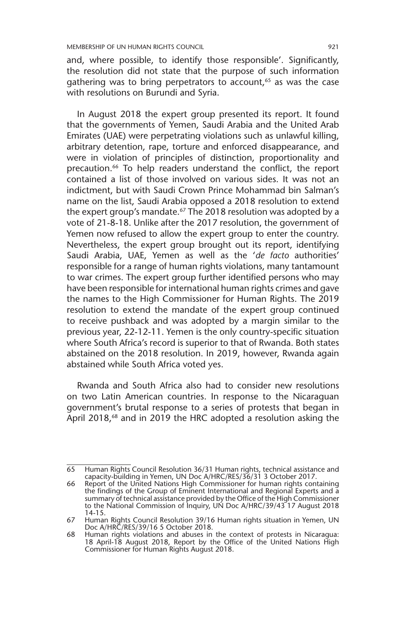and, where possible, to identify those responsible'. Significantly, the resolution did not state that the purpose of such information gathering was to bring perpetrators to account, $65$  as was the case with resolutions on Burundi and Syria.

In August 2018 the expert group presented its report. It found that the governments of Yemen, Saudi Arabia and the United Arab Emirates (UAE) were perpetrating violations such as unlawful killing, arbitrary detention, rape, torture and enforced disappearance, and were in violation of principles of distinction, proportionality and precaution.<sup>66</sup> To help readers understand the conflict, the report contained a list of those involved on various sides. It was not an indictment, but with Saudi Crown Prince Mohammad bin Salman's name on the list, Saudi Arabia opposed a 2018 resolution to extend the expert group's mandate.<sup>67</sup> The 2018 resolution was adopted by a vote of 21-8-18. Unlike after the 2017 resolution, the government of Yemen now refused to allow the expert group to enter the country. Nevertheless, the expert group brought out its report, identifying Saudi Arabia, UAE, Yemen as well as the '*de facto* authorities' responsible for a range of human rights violations, many tantamount to war crimes. The expert group further identified persons who may have been responsible for international human rights crimes and gave the names to the High Commissioner for Human Rights. The 2019 resolution to extend the mandate of the expert group continued to receive pushback and was adopted by a margin similar to the previous year, 22-12-11. Yemen is the only country-specific situation where South Africa's record is superior to that of Rwanda. Both states abstained on the 2018 resolution. In 2019, however, Rwanda again abstained while South Africa voted yes.

Rwanda and South Africa also had to consider new resolutions on two Latin American countries. In response to the Nicaraguan government's brutal response to a series of protests that began in April 2018,<sup>68</sup> and in 2019 the HRC adopted a resolution asking the

<sup>65</sup> Human Rights Council Resolution 36/31 Human rights, technical assistance and capacity-building in Yemen, UN Doc A/HRC/RES/36/31 3 October 2017.

<sup>66</sup> Report of the United Nations High Commissioner for human rights containing the findings of the Group of Eminent International and Regional Experts and a summary of technical assistance provided by the Office of the High Commissioner to the National Commission of Inquiry, UN Doc A/HRC/39/43 17 August 2018 14-15.

<sup>67</sup> Human Rights Council Resolution 39/16 Human rights situation in Yemen, UN Doc A/HRC/RES/39/16 5 October 2018.

<sup>68</sup> Human rights violations and abuses in the context of protests in Nicaragua: 18 April-18 August 2018, Report by the Office of the United Nations High Commissioner for Human Rights August 2018.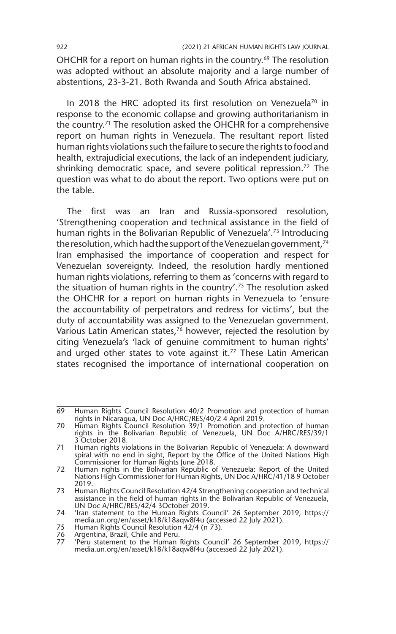OHCHR for a report on human rights in the country.<sup>69</sup> The resolution was adopted without an absolute majority and a large number of abstentions, 23-3-21. Both Rwanda and South Africa abstained.

In 2018 the HRC adopted its first resolution on Venezuela<sup>70</sup> in response to the economic collapse and growing authoritarianism in the country.71 The resolution asked the OHCHR for a comprehensive report on human rights in Venezuela. The resultant report listed human rights violations such the failure to secure the rights to food and health, extrajudicial executions, the lack of an independent judiciary, shrinking democratic space, and severe political repression.<sup>72</sup> The question was what to do about the report. Two options were put on the table.

The first was an Iran and Russia-sponsored resolution, 'Strengthening cooperation and technical assistance in the field of human rights in the Bolivarian Republic of Venezuela'.<sup>73</sup> Introducing the resolution, which had the support of the Venezuelan government,<sup>74</sup> Iran emphasised the importance of cooperation and respect for Venezuelan sovereignty. Indeed, the resolution hardly mentioned human rights violations, referring to them as 'concerns with regard to the situation of human rights in the country'.75 The resolution asked the OHCHR for a report on human rights in Venezuela to 'ensure the accountability of perpetrators and redress for victims', but the duty of accountability was assigned to the Venezuelan government. Various Latin American states, $76$  however, rejected the resolution by citing Venezuela's 'lack of genuine commitment to human rights' and urged other states to vote against it.<sup>77</sup> These Latin American states recognised the importance of international cooperation on

<sup>69</sup> Human Rights Council Resolution 40/2 Promotion and protection of human rights in Nicaragua, UN Doc A/HRC/RES/40/2 4 April 2019.

<sup>70</sup> Human Rights Council Resolution 39/1 Promotion and protection of human rights in the Bolivarian Republic of Venezuela, UN Doc A/HRC/RES/39/1 3 October 2018.

<sup>71</sup> Human rights violations in the Bolivarian Republic of Venezuela: A downward spiral with no end in sight, Report by the Office of the United Nations High Commissioner for Human Rights June 2018.

<sup>72</sup> Human rights in the Bolivarian Republic of Venezuela: Report of the United Nations High Commissioner for Human Rights, UN Doc A/HRC/41/18 9 October 2019.

<sup>73</sup> Human Rights Council Resolution 42/4 Strengthening cooperation and technical assistance in the field of human rights in the Bolivarian Republic of Venezuela, UN Doc A/HRC/RES/42/4 3October 2019.

<sup>74</sup> 'Iran statement to the Human Rights Council' 26 September 2019, https:// media.un.org/en/asset/k18/k18aqw8f4u (accessed 22 July 2021).

<sup>75</sup> Human Rights Council Resolution 42/4 (n 73).<br>76 Argentina, Brazil, Chile and Peru.<br>77 Teru statement to the Human Rights Council

Argentina, Brazil, Chile and Peru.

<sup>77</sup> 'Peru statement to the Human Rights Council' 26 September 2019, https:// media.un.org/en/asset/k18/k18aqw8f4u (accessed 22 July 2021).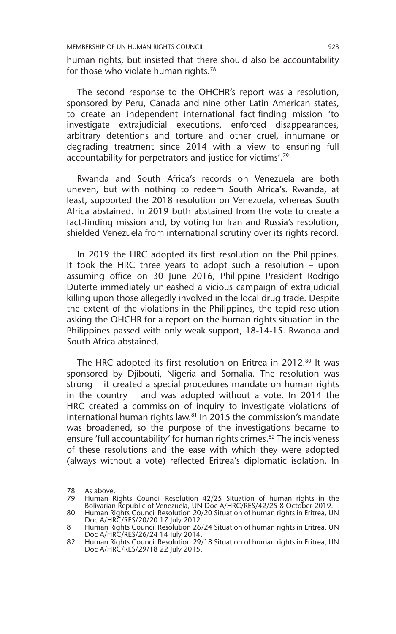human rights, but insisted that there should also be accountability for those who violate human rights.78

The second response to the OHCHR's report was a resolution, sponsored by Peru, Canada and nine other Latin American states, to create an independent international fact-finding mission 'to investigate extrajudicial executions, enforced disappearances, arbitrary detentions and torture and other cruel, inhumane or degrading treatment since 2014 with a view to ensuring full accountability for perpetrators and justice for victims'.79

Rwanda and South Africa's records on Venezuela are both uneven, but with nothing to redeem South Africa's. Rwanda, at least, supported the 2018 resolution on Venezuela, whereas South Africa abstained. In 2019 both abstained from the vote to create a fact-finding mission and, by voting for Iran and Russia's resolution, shielded Venezuela from international scrutiny over its rights record.

In 2019 the HRC adopted its first resolution on the Philippines. It took the HRC three years to adopt such a resolution – upon assuming office on 30 June 2016, Philippine President Rodrigo Duterte immediately unleashed a vicious campaign of extrajudicial killing upon those allegedly involved in the local drug trade. Despite the extent of the violations in the Philippines, the tepid resolution asking the OHCHR for a report on the human rights situation in the Philippines passed with only weak support, 18-14-15. Rwanda and South Africa abstained.

The HRC adopted its first resolution on Eritrea in 2012.<sup>80</sup> It was sponsored by Djibouti, Nigeria and Somalia. The resolution was strong – it created a special procedures mandate on human rights in the country – and was adopted without a vote. In 2014 the HRC created a commission of inquiry to investigate violations of international human rights law.<sup>81</sup> In 2015 the commission's mandate was broadened, so the purpose of the investigations became to ensure 'full accountability' for human rights crimes.<sup>82</sup> The incisiveness of these resolutions and the ease with which they were adopted (always without a vote) reflected Eritrea's diplomatic isolation. In

<sup>78</sup> As above.<br>79 Human B

<sup>79</sup> Human Rights Council Resolution 42/25 Situation of human rights in the Bolivarian Republic of Venezuela, UN Doc A/HRC/RES/42/25 8 October 2019.

<sup>80</sup> Human Rights Council Resolution 20/20 Situation of human rights in Eritrea, UN Doc A/HRC/RES/20/20 17 July 2012. 81 Human Rights Council Resolution 26/24 Situation of human rights in Eritrea, UN

Doc A/HRC/RES/26/24 14 July 2014.

<sup>82</sup> Human Rights Council Resolution 29/18 Situation of human rights in Eritrea, UN Doc A/HRC/RES/29/18 22 July 2015.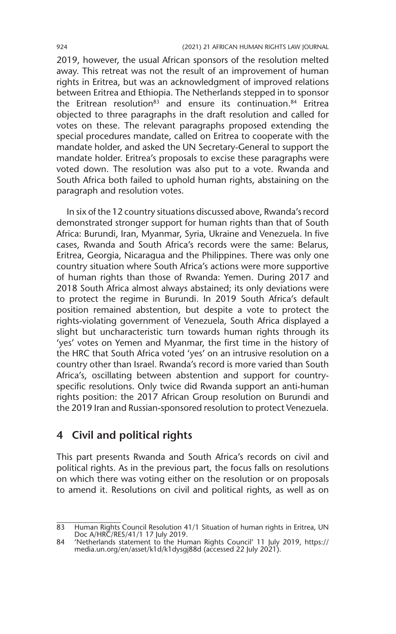2019, however, the usual African sponsors of the resolution melted away. This retreat was not the result of an improvement of human rights in Eritrea, but was an acknowledgment of improved relations between Eritrea and Ethiopia. The Netherlands stepped in to sponsor the Eritrean resolution<sup>83</sup> and ensure its continuation.<sup>84</sup> Eritrea objected to three paragraphs in the draft resolution and called for votes on these. The relevant paragraphs proposed extending the special procedures mandate, called on Eritrea to cooperate with the mandate holder, and asked the UN Secretary-General to support the mandate holder. Eritrea's proposals to excise these paragraphs were voted down. The resolution was also put to a vote. Rwanda and South Africa both failed to uphold human rights, abstaining on the paragraph and resolution votes.

In six of the 12 country situations discussed above, Rwanda's record demonstrated stronger support for human rights than that of South Africa: Burundi, Iran, Myanmar, Syria, Ukraine and Venezuela. In five cases, Rwanda and South Africa's records were the same: Belarus, Eritrea, Georgia, Nicaragua and the Philippines. There was only one country situation where South Africa's actions were more supportive of human rights than those of Rwanda: Yemen. During 2017 and 2018 South Africa almost always abstained; its only deviations were to protect the regime in Burundi. In 2019 South Africa's default position remained abstention, but despite a vote to protect the rights-violating government of Venezuela, South Africa displayed a slight but uncharacteristic turn towards human rights through its 'yes' votes on Yemen and Myanmar, the first time in the history of the HRC that South Africa voted 'yes' on an intrusive resolution on a country other than Israel. Rwanda's record is more varied than South Africa's, oscillating between abstention and support for countryspecific resolutions. Only twice did Rwanda support an anti-human rights position: the 2017 African Group resolution on Burundi and the 2019 Iran and Russian-sponsored resolution to protect Venezuela.

#### **4 Civil and political rights**

This part presents Rwanda and South Africa's records on civil and political rights. As in the previous part, the focus falls on resolutions on which there was voting either on the resolution or on proposals to amend it. Resolutions on civil and political rights, as well as on

<sup>83</sup> Human Rights Council Resolution 41/1 Situation of human rights in Eritrea, UN Doc A/HRC/RES/41/1 17 July 2019.

<sup>84</sup> 'Netherlands statement to the Human Rights Council' 11 July 2019, https:// media.un.org/en/asset/k1d/k1dysgj88d (accessed 22 July 2021).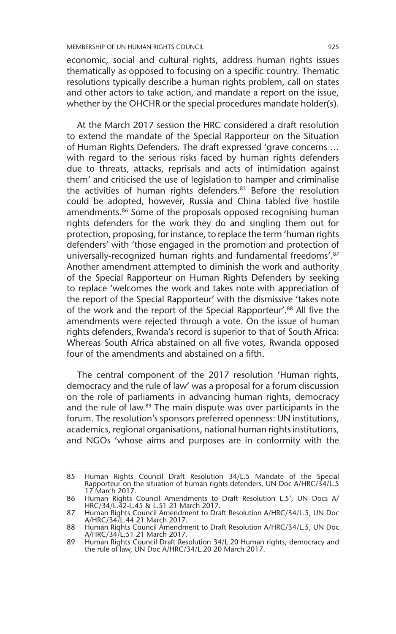economic, social and cultural rights, address human rights issues thematically as opposed to focusing on a specific country. Thematic resolutions typically describe a human rights problem, call on states and other actors to take action, and mandate a report on the issue, whether by the OHCHR or the special procedures mandate holder(s).

At the March 2017 session the HRC considered a draft resolution to extend the mandate of the Special Rapporteur on the Situation of Human Rights Defenders. The draft expressed 'grave concerns … with regard to the serious risks faced by human rights defenders due to threats, attacks, reprisals and acts of intimidation against them' and criticised the use of legislation to hamper and criminalise the activities of human rights defenders.<sup>85</sup> Before the resolution could be adopted, however, Russia and China tabled five hostile amendments.<sup>86</sup> Some of the proposals opposed recognising human rights defenders for the work they do and singling them out for protection, proposing, for instance, to replace the term 'human rights defenders' with 'those engaged in the promotion and protection of universally-recognized human rights and fundamental freedoms'.87 Another amendment attempted to diminish the work and authority of the Special Rapporteur on Human Rights Defenders by seeking to replace 'welcomes the work and takes note with appreciation of the report of the Special Rapporteur' with the dismissive 'takes note of the work and the report of the Special Rapporteur'.88 All five the amendments were rejected through a vote. On the issue of human rights defenders, Rwanda's record is superior to that of South Africa: Whereas South Africa abstained on all five votes, Rwanda opposed four of the amendments and abstained on a fifth.

The central component of the 2017 resolution 'Human rights, democracy and the rule of law' was a proposal for a forum discussion on the role of parliaments in advancing human rights, democracy and the rule of law.89 The main dispute was over participants in the forum. The resolution's sponsors preferred openness: UN institutions, academics, regional organisations, national human rights institutions, and NGOs 'whose aims and purposes are in conformity with the

<sup>85</sup> Human Rights Council Draft Resolution 34/L.5 Mandate of the Special Rapporteur on the situation of human rights defenders, UN Doc A/HRC/34/L.5 17 March 2017.

<sup>86</sup> Human Rights Council Amendments to Draft Resolution L.5', UN Docs A/ HRC/34/L.42-L.45 & L.51 21 March 2017.

<sup>87</sup> Human Rights Council Amendment to Draft Resolution A/HRC/34/L.5, UN Doc A/HRC/34/L.44 21 March 2017.

<sup>88</sup> Human Rights Council Amendment to Draft Resolution A/HRC/34/L.5, UN Doc A/HRC/34/L.51 21 March 2017.

<sup>89</sup> Human Rights Council Draft Resolution 34/L.20 Human rights, democracy and the rule of law, UN Doc A/HRC/34/L.20 20 March 2017.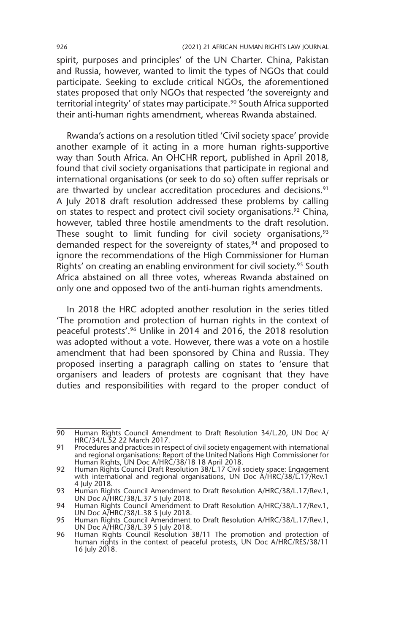spirit, purposes and principles' of the UN Charter. China, Pakistan and Russia, however, wanted to limit the types of NGOs that could participate. Seeking to exclude critical NGOs, the aforementioned states proposed that only NGOs that respected 'the sovereignty and territorial integrity' of states may participate.<sup>90</sup> South Africa supported their anti-human rights amendment, whereas Rwanda abstained.

Rwanda's actions on a resolution titled 'Civil society space' provide another example of it acting in a more human rights-supportive way than South Africa. An OHCHR report, published in April 2018, found that civil society organisations that participate in regional and international organisations (or seek to do so) often suffer reprisals or are thwarted by unclear accreditation procedures and decisions.<sup>91</sup> A July 2018 draft resolution addressed these problems by calling on states to respect and protect civil society organisations.<sup>92</sup> China, however, tabled three hostile amendments to the draft resolution. These sought to limit funding for civil society organisations, $93$ demanded respect for the sovereignty of states,<sup>94</sup> and proposed to ignore the recommendations of the High Commissioner for Human Rights' on creating an enabling environment for civil society.<sup>95</sup> South Africa abstained on all three votes, whereas Rwanda abstained on only one and opposed two of the anti-human rights amendments.

In 2018 the HRC adopted another resolution in the series titled 'The promotion and protection of human rights in the context of peaceful protests'.96 Unlike in 2014 and 2016, the 2018 resolution was adopted without a vote. However, there was a vote on a hostile amendment that had been sponsored by China and Russia. They proposed inserting a paragraph calling on states to 'ensure that organisers and leaders of protests are cognisant that they have duties and responsibilities with regard to the proper conduct of

<sup>90</sup> Human Rights Council Amendment to Draft Resolution 34/L.20, UN Doc A/ HRC/34/L.52 22 March 2017.

<sup>91</sup> Procedures and practices in respect of civil society engagement with international and regional organisations: Report of the United Nations High Commissioner for Human Rights, UN Doc A/HRC/38/18 18 April 2018.

<sup>92</sup> Human Rights Council Draft Resolution 38/L.17 Civil society space: Engagement with international and regional organisations, UN Doc A/HRC/38/L.17/Rev.1 4 July 2018.

<sup>93</sup> Human Rights Council Amendment to Draft Resolution A/HRC/38/L.17/Rev.1, UN Doc A/HRC/38/L.37 5 July 2018.

<sup>94</sup> Human Rights Council Amendment to Draft Resolution A/HRC/38/L.17/Rev.1, UN Doc A/HRC/38/L.38 5 July 2018.

<sup>95</sup> Human Rights Council Amendment to Draft Resolution A/HRC/38/L.17/Rev.1, UN Doc A/HRC/38/L.39 5 July 2018.

<sup>96</sup> Human Rights Council Resolution 38/11 The promotion and protection of human rights in the context of peaceful protests, UN Doc A/HRC/RES/38/11 16 July 2018.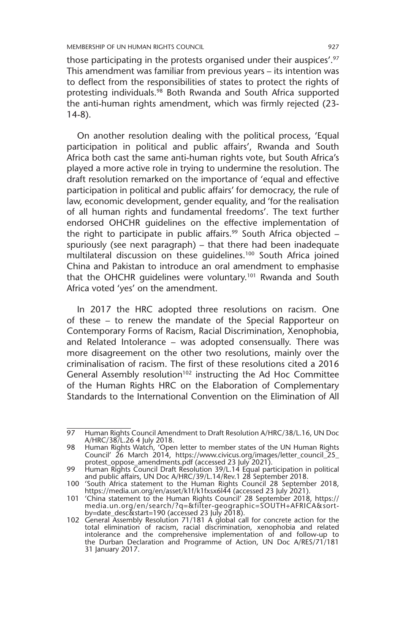those participating in the protests organised under their auspices'.<sup>97</sup> This amendment was familiar from previous years – its intention was to deflect from the responsibilities of states to protect the rights of protesting individuals.<sup>98</sup> Both Rwanda and South Africa supported the anti-human rights amendment, which was firmly rejected (23- 14-8).

On another resolution dealing with the political process, 'Equal participation in political and public affairs', Rwanda and South Africa both cast the same anti-human rights vote, but South Africa's played a more active role in trying to undermine the resolution. The draft resolution remarked on the importance of 'equal and effective participation in political and public affairs' for democracy, the rule of law, economic development, gender equality, and 'for the realisation of all human rights and fundamental freedoms'. The text further endorsed OHCHR guidelines on the effective implementation of the right to participate in public affairs.<sup>99</sup> South Africa objected  $$ spuriously (see next paragraph) – that there had been inadequate multilateral discussion on these guidelines.100 South Africa joined China and Pakistan to introduce an oral amendment to emphasise that the OHCHR guidelines were voluntary.101 Rwanda and South Africa voted 'yes' on the amendment.

In 2017 the HRC adopted three resolutions on racism. One of these – to renew the mandate of the Special Rapporteur on Contemporary Forms of Racism, Racial Discrimination, Xenophobia, and Related Intolerance – was adopted consensually. There was more disagreement on the other two resolutions, mainly over the criminalisation of racism. The first of these resolutions cited a 2016 General Assembly resolution<sup>102</sup> instructing the Ad Hoc Committee of the Human Rights HRC on the Elaboration of Complementary Standards to the International Convention on the Elimination of All

<sup>97</sup> Human Rights Council Amendment to Draft Resolution A/HRC/38/L.16, UN Doc A/HRC/38/L.26 4 July 2018.

<sup>98</sup> Human Rights Watch, 'Open letter to member states of the UN Human Rights Council' 26 March 2014, https://www.civicus.org/images/letter\_council\_25\_ protest\_oppose\_amendments.pdf (accessed 23 July 2021).

<sup>99</sup> Human Rights Council Draft Resolution 39/L.14 Equal participation in political and public affairs, UN Doc A/HRC/39/L.14/Rev.1 28 September 2018.

<sup>100</sup> 'South Africa statement to the Human Rights Council 28 September 2018, https://media.un.org/en/asset/k1f/k1fxsx6l44 (accessed 23 July 2021).

<sup>101</sup> 'China statement to the Human Rights Council' 28 September 2018, https:// media.un.org/en/search/?q=&filter-geographic=SOUTH+AFRICA&sort-

by=date\_desc&start=190 (accessed 23 July 2018). 102 General Assembly Resolution 71/181 A global call for concrete action for the total elimination of racism, racial discrimination, xenophobia and related intolerance and the comprehensive implementation of and follow-up to the Durban Declaration and Programme of Action, UN Doc A/RES/71/181 31 January 2017.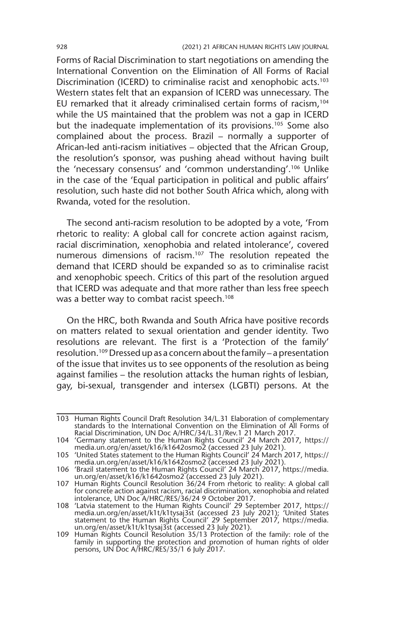Forms of Racial Discrimination to start negotiations on amending the International Convention on the Elimination of All Forms of Racial Discrimination (ICERD) to criminalise racist and xenophobic acts.<sup>103</sup> Western states felt that an expansion of ICERD was unnecessary. The EU remarked that it already criminalised certain forms of racism,<sup>104</sup> while the US maintained that the problem was not a gap in ICERD but the inadequate implementation of its provisions.<sup>105</sup> Some also complained about the process. Brazil – normally a supporter of African-led anti-racism initiatives – objected that the African Group, the resolution's sponsor, was pushing ahead without having built the 'necessary consensus' and 'common understanding'.106 Unlike in the case of the 'Equal participation in political and public affairs' resolution, such haste did not bother South Africa which, along with Rwanda, voted for the resolution.

The second anti-racism resolution to be adopted by a vote, 'From rhetoric to reality: A global call for concrete action against racism, racial discrimination, xenophobia and related intolerance', covered numerous dimensions of racism.107 The resolution repeated the demand that ICERD should be expanded so as to criminalise racist and xenophobic speech. Critics of this part of the resolution argued that ICERD was adequate and that more rather than less free speech was a better way to combat racist speech.<sup>108</sup>

On the HRC, both Rwanda and South Africa have positive records on matters related to sexual orientation and gender identity. Two resolutions are relevant. The first is a 'Protection of the family' resolution.109 Dressed up as a concern about the family – a presentation of the issue that invites us to see opponents of the resolution as being against families – the resolution attacks the human rights of lesbian, gay, bi-sexual, transgender and intersex (LGBTI) persons. At the

<sup>103</sup> Human Rights Council Draft Resolution 34/L.31 Elaboration of complementary standards to the International Convention on the Elimination of All Forms of Racial Discrimination, UN Doc A/HRC/34/L.31/Rev.1 21 March 2017.

<sup>104</sup> 'Germany statement to the Human Rights Council' 24 March 2017, https:// media.un.org/en/asset/k16/k1642osmo2 (accessed 23 July 2021).

<sup>105</sup> 'United States statement to the Human Rights Council' 24 March 2017, https:// media.un.org/en/asset/k16/k1642osmo2 (accessed 23 July 2021).

<sup>106</sup> 'Brazil statement to the Human Rights Council' 24 March 2017, https://media. un.org/en/asset/k16/k1642osmo2 (accessed 23 July 2021).

<sup>107</sup> Human Rights Council Resolution 36/24 From rhetoric to reality: A global call for concrete action against racism, racial discrimination, xenophobia and related intolerance, UN Doc A/HRC/RES/36/24 9 October 2017.

<sup>108</sup> 'Latvia statement to the Human Rights Council' 29 September 2017, https:// media.un.org/en/asset/k1t/k1tysaj3st (accessed 23 July 2021); 'United States statement to the Human Rights Council' 29 September 2017, https://media. un.org/en/asset/k1t/k1tysaj3st (accessed 23 July 2021).

<sup>109</sup> Human Rights Council Resolution 35/13 Protection of the family: role of the family in supporting the protection and promotion of human rights of older persons, UN Doc A/HRC/RES/35/1 6 July 2017.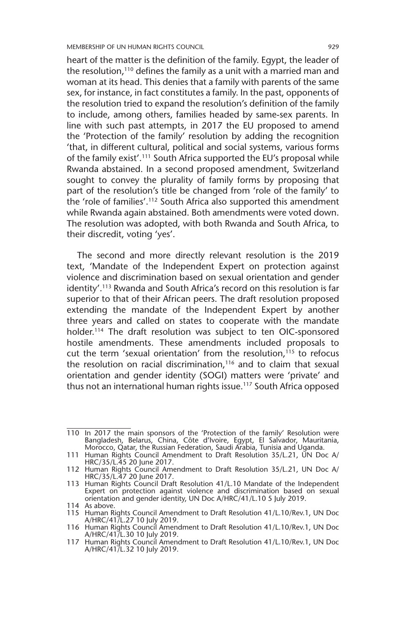heart of the matter is the definition of the family. Egypt, the leader of the resolution,<sup>110</sup> defines the family as a unit with a married man and woman at its head. This denies that a family with parents of the same sex, for instance, in fact constitutes a family. In the past, opponents of the resolution tried to expand the resolution's definition of the family to include, among others, families headed by same-sex parents. In line with such past attempts, in 2017 the EU proposed to amend the 'Protection of the family' resolution by adding the recognition 'that, in different cultural, political and social systems, various forms of the family exist'.111 South Africa supported the EU's proposal while Rwanda abstained. In a second proposed amendment, Switzerland sought to convey the plurality of family forms by proposing that part of the resolution's title be changed from 'role of the family' to the 'role of families'.112 South Africa also supported this amendment while Rwanda again abstained. Both amendments were voted down. The resolution was adopted, with both Rwanda and South Africa, to their discredit, voting 'yes'.

The second and more directly relevant resolution is the 2019 text, 'Mandate of the Independent Expert on protection against violence and discrimination based on sexual orientation and gender identity'.113 Rwanda and South Africa's record on this resolution is far superior to that of their African peers. The draft resolution proposed extending the mandate of the Independent Expert by another three years and called on states to cooperate with the mandate holder.<sup>114</sup> The draft resolution was subject to ten OIC-sponsored hostile amendments. These amendments included proposals to cut the term 'sexual orientation' from the resolution,<sup>115</sup> to refocus the resolution on racial discrimination, $116$  and to claim that sexual orientation and gender identity (SOGI) matters were 'private' and thus not an international human rights issue.<sup>117</sup> South Africa opposed

<sup>110</sup> In 2017 the main sponsors of the 'Protection of the family' Resolution were Bangladesh, Belarus, China, Côte d'Ivoire, Egypt, El Salvador, Mauritania, Morocco, Qatar, the Russian Federation, Saudi Arabia, Tunisia and Uganda.

<sup>111</sup> Human Rights Council Amendment to Draft Resolution 35/L.21, UN Doc A/ HRC/35/L.45 20 June 2017.

<sup>112</sup> Human Rights Council Amendment to Draft Resolution 35/L.21, UN Doc A/ HRC/35/L.47 20 June 2017.

<sup>113</sup> Human Rights Council Draft Resolution 41/L.10 Mandate of the Independent Expert on protection against violence and discrimination based on sexual orientation and gender identity, UN Doc A/HRC/41/L.10 5 July 2019. 114 As above.

<sup>115</sup> Human Rights Council Amendment to Draft Resolution 41/L.10/Rev.1, UN Doc A/HRC/41/L.27 10 July 2019. 116 Human Rights Council Amendment to Draft Resolution 41/L.10/Rev.1, UN Doc

A/HRC/41/L.30 10 July 2019.

<sup>117</sup> Human Rights Council Amendment to Draft Resolution 41/L.10/Rev.1, UN Doc A/HRC/41/L.32 10 July 2019.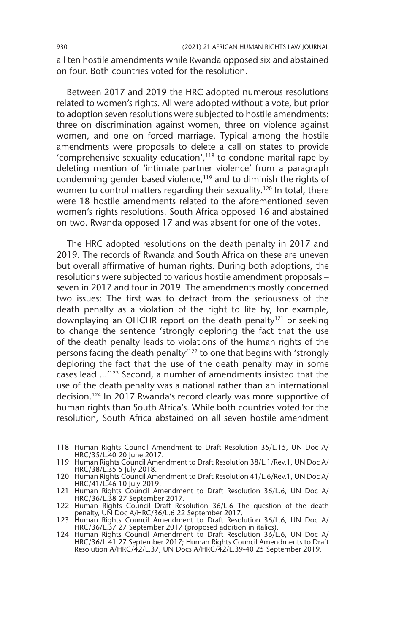all ten hostile amendments while Rwanda opposed six and abstained on four. Both countries voted for the resolution.

Between 2017 and 2019 the HRC adopted numerous resolutions related to women's rights. All were adopted without a vote, but prior to adoption seven resolutions were subjected to hostile amendments: three on discrimination against women, three on violence against women, and one on forced marriage. Typical among the hostile amendments were proposals to delete a call on states to provide 'comprehensive sexuality education', $118$  to condone marital rape by deleting mention of 'intimate partner violence' from a paragraph condemning gender-based violence,<sup>119</sup> and to diminish the rights of women to control matters regarding their sexuality.<sup>120</sup> In total, there were 18 hostile amendments related to the aforementioned seven women's rights resolutions. South Africa opposed 16 and abstained on two. Rwanda opposed 17 and was absent for one of the votes.

The HRC adopted resolutions on the death penalty in 2017 and 2019. The records of Rwanda and South Africa on these are uneven but overall affirmative of human rights. During both adoptions, the resolutions were subjected to various hostile amendment proposals – seven in 2017 and four in 2019. The amendments mostly concerned two issues: The first was to detract from the seriousness of the death penalty as a violation of the right to life by, for example, downplaying an OHCHR report on the death penalty<sup>121</sup> or seeking to change the sentence 'strongly deploring the fact that the use of the death penalty leads to violations of the human rights of the persons facing the death penalty'122 to one that begins with 'strongly deploring the fact that the use of the death penalty may in some cases lead ...'123 Second, a number of amendments insisted that the use of the death penalty was a national rather than an international decision.124 In 2017 Rwanda's record clearly was more supportive of human rights than South Africa's. While both countries voted for the resolution, South Africa abstained on all seven hostile amendment

<sup>118</sup> Human Rights Council Amendment to Draft Resolution 35/L.15, UN Doc A/ HRC/35/L.40 20 June 2017.

<sup>119</sup> Human Rights Council Amendment to Draft Resolution 38/L.1/Rev.1, UN Doc A/ HRC/38/L.35 5 July 2018.

<sup>120</sup> Human Rights Council Amendment to Draft Resolution 41/L.6/Rev.1, UN Doc A/ HRC/41/L.46 10 July 2019.

<sup>121</sup> Human Rights Council Amendment to Draft Resolution 36/L.6, UN Doc A/ HRC/36/L.38 27 September 2017.

<sup>122</sup> Human Rights Council Draft Resolution 36/L.6 The question of the death

penalty, UN Doc A/HRC/36/L.6 22 September 2017. 123 Human Rights Council Amendment to Draft Resolution 36/L.6, UN Doc A/ HRC/36/L.37 27 September 2017 (proposed addition in italics).

<sup>124</sup> Human Rights Council Amendment to Draft Resolution 36/L.6, UN Doc A/ HRC/36/L.41 27 September 2017; Human Rights Council Amendments to Draft Resolution A/HRC/42/L.37, UN Docs A/HRC/42/L.39-40 25 September 2019.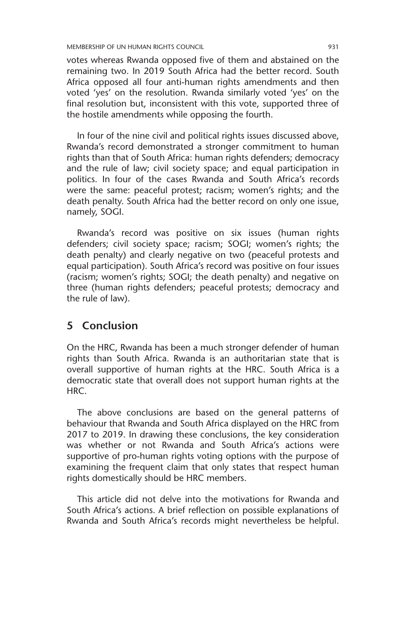votes whereas Rwanda opposed five of them and abstained on the remaining two. In 2019 South Africa had the better record. South Africa opposed all four anti-human rights amendments and then voted 'yes' on the resolution. Rwanda similarly voted 'yes' on the final resolution but, inconsistent with this vote, supported three of the hostile amendments while opposing the fourth.

In four of the nine civil and political rights issues discussed above, Rwanda's record demonstrated a stronger commitment to human rights than that of South Africa: human rights defenders; democracy and the rule of law; civil society space; and equal participation in politics. In four of the cases Rwanda and South Africa's records were the same: peaceful protest; racism; women's rights; and the death penalty. South Africa had the better record on only one issue, namely, SOGI.

Rwanda's record was positive on six issues (human rights defenders; civil society space; racism; SOGI; women's rights; the death penalty) and clearly negative on two (peaceful protests and equal participation). South Africa's record was positive on four issues (racism; women's rights; SOGI; the death penalty) and negative on three (human rights defenders; peaceful protests; democracy and the rule of law).

#### **5 Conclusion**

On the HRC, Rwanda has been a much stronger defender of human rights than South Africa. Rwanda is an authoritarian state that is overall supportive of human rights at the HRC. South Africa is a democratic state that overall does not support human rights at the HRC.

The above conclusions are based on the general patterns of behaviour that Rwanda and South Africa displayed on the HRC from 2017 to 2019. In drawing these conclusions, the key consideration was whether or not Rwanda and South Africa's actions were supportive of pro-human rights voting options with the purpose of examining the frequent claim that only states that respect human rights domestically should be HRC members.

This article did not delve into the motivations for Rwanda and South Africa's actions. A brief reflection on possible explanations of Rwanda and South Africa's records might nevertheless be helpful.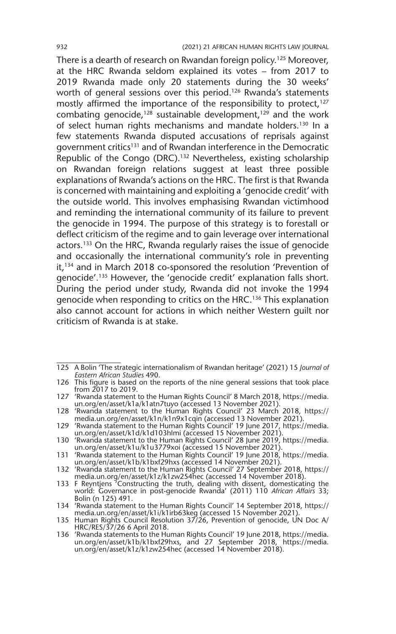There is a dearth of research on Rwandan foreign policy.<sup>125</sup> Moreover, at the HRC Rwanda seldom explained its votes – from 2017 to 2019 Rwanda made only 20 statements during the 30 weeks' worth of general sessions over this period.<sup>126</sup> Rwanda's statements mostly affirmed the importance of the responsibility to protect, $127$ combating genocide,<sup>128</sup> sustainable development,<sup>129</sup> and the work of select human rights mechanisms and mandate holders.<sup>130</sup> In a few statements Rwanda disputed accusations of reprisals against government critics<sup>131</sup> and of Rwandan interference in the Democratic Republic of the Congo (DRC).132 Nevertheless, existing scholarship on Rwandan foreign relations suggest at least three possible explanations of Rwanda's actions on the HRC. The first is that Rwanda is concerned with maintaining and exploiting a 'genocide credit' with the outside world. This involves emphasising Rwandan victimhood and reminding the international community of its failure to prevent the genocide in 1994. The purpose of this strategy is to forestall or deflect criticism of the regime and to gain leverage over international actors.<sup>133</sup> On the HRC, Rwanda regularly raises the issue of genocide and occasionally the international community's role in preventing it,<sup>134</sup> and in March 2018 co-sponsored the resolution 'Prevention of genocide'.135 However, the 'genocide credit' explanation falls short. During the period under study, Rwanda did not invoke the 1994 genocide when responding to critics on the HRC.136 This explanation also cannot account for actions in which neither Western guilt nor criticism of Rwanda is at stake.

<sup>125</sup> A Bolin 'The strategic internationalism of Rwandan heritage' (2021) 15 *Journal of Eastern African Studies* 490.

<sup>126</sup> This figure is based on the reports of the nine general sessions that took place from 2017 to 2019.

<sup>127</sup> 'Rwanda statement to the Human Rights Council' 8 March 2018, https://media. un.org/en/asset/k1a/k1atn7tuyo (accessed 13 November 2021).

<sup>128</sup> 'Rwanda statement to the Human Rights Council' 23 March 2018, https:// media.un.org/en/asset/k1n/k1n9x1cqin (accessed 13 November 2021).

<sup>129</sup> 'Rwanda statement to the Human Rights Council' 19 June 2017, https://media. un.org/en/asset/k1d/k1d103hlmi (accessed 15 November 2021).

<sup>130</sup> 'Rwanda statement to the Human Rights Council' 28 June 2019, https://media. un.org/en/asset/k1u/k1u3779xoi (accessed 15 November 2021).

<sup>131</sup> 'Rwanda statement to the Human Rights Council' 19 June 2018, https://media. un.org/en/asset/k1b/k1bxf29hxs (accessed 14 November 2021).

<sup>132</sup> 'Rwanda statement to the Human Rights Council' 27 September 2018, https:// media.un.org/en/asset/k1z/k1zw254hec (accessed 14 November 2018).

<sup>133</sup> F Reyntjens 'Constructing the truth, dealing with dissent, domesticating the world: Governance in post-genocide Rwanda' (2011) 110 *African Affairs* 33; Bolin (n 125) 491.

<sup>134</sup> 'Rwanda statement to the Human Rights Council' 14 September 2018, https://

media.un.org/en/asset/k1i/k1irb63keg (accessed 15 November 2021). 135 Human Rights Council Resolution 37/26, Prevention of genocide, UN Doc A/ HRC/RES/37/26 6 April 2018.

<sup>136</sup> 'Rwanda statements to the Human Rights Council' 19 June 2018, https://media. un.org/en/asset/k1b/k1bxf29hxs, and 27 September 2018, https://media. un.org/en/asset/k1z/k1zw254hec (accessed 14 November 2018).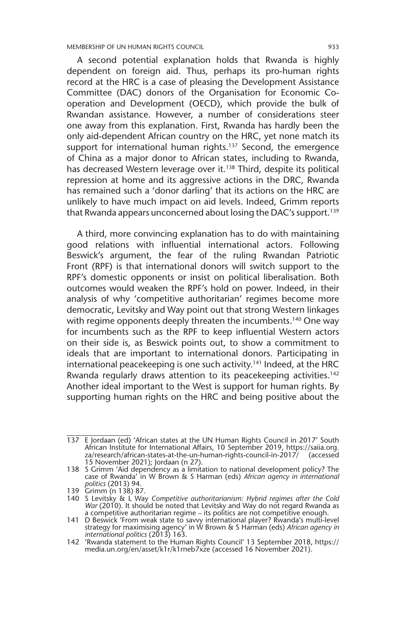MEMBERSHIP OF UN HUMAN RIGHTS COUNCIL 933

A second potential explanation holds that Rwanda is highly dependent on foreign aid. Thus, perhaps its pro-human rights record at the HRC is a case of pleasing the Development Assistance Committee (DAC) donors of the Organisation for Economic Cooperation and Development (OECD), which provide the bulk of Rwandan assistance. However, a number of considerations steer one away from this explanation. First, Rwanda has hardly been the only aid-dependent African country on the HRC, yet none match its support for international human rights.<sup>137</sup> Second, the emergence of China as a major donor to African states, including to Rwanda, has decreased Western leverage over it.<sup>138</sup> Third, despite its political repression at home and its aggressive actions in the DRC, Rwanda has remained such a 'donor darling' that its actions on the HRC are unlikely to have much impact on aid levels. Indeed, Grimm reports that Rwanda appears unconcerned about losing the DAC's support.<sup>139</sup>

A third, more convincing explanation has to do with maintaining good relations with influential international actors. Following Beswick's argument, the fear of the ruling Rwandan Patriotic Front (RPF) is that international donors will switch support to the RPF's domestic opponents or insist on political liberalisation. Both outcomes would weaken the RPF's hold on power. Indeed, in their analysis of why 'competitive authoritarian' regimes become more democratic, Levitsky and Way point out that strong Western linkages with regime opponents deeply threaten the incumbents.<sup>140</sup> One way for incumbents such as the RPF to keep influential Western actors on their side is, as Beswick points out, to show a commitment to ideals that are important to international donors. Participating in international peacekeeping is one such activity.<sup>141</sup> Indeed, at the HRC Rwanda regularly draws attention to its peacekeeping activities.<sup>142</sup> Another ideal important to the West is support for human rights. By supporting human rights on the HRC and being positive about the

<sup>137</sup> E Jordaan (ed) 'African states at the UN Human Rights Council in 2017' South African Institute for International Affairs, 10 September 2019, https://saiia.org. za/research/african-states-at-the-un-human-rights-council-in-2017/ (accessed 15 November 2021); Jordaan (n 27).

<sup>138</sup> S Grimm 'Aid dependency as a limitation to national development policy? The case of Rwanda' in W Brown & S Harman (eds) *African agency in international politics* (2013) 94.

<sup>139</sup> Grimm (n 138) 87.

<sup>140</sup> S Levitsky & L Way *Competitive authoritarianism: Hybrid regimes after the Cold War* (2010). It should be noted that Levitsky and Way do not regard Rwanda as

a competitive authoritarian regime – its politics are not competitive enough.<br>141 D Beswick 'From weak state to savvy international player? Rwanda's multi-level<br>141 strategy for maximising agency' in W Brown & S Harman (ed *international politics* (2013) 163.

<sup>142</sup> 'Rwanda statement to the Human Rights Council' 13 September 2018, https:// media.un.org/en/asset/k1r/k1rneb7xze (accessed 16 November 2021).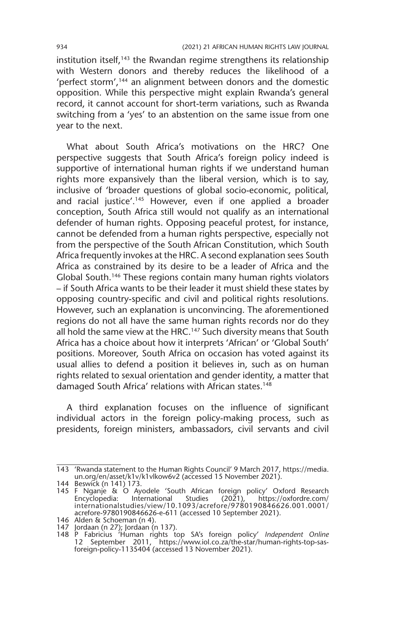institution itself, $143$  the Rwandan regime strengthens its relationship with Western donors and thereby reduces the likelihood of a 'perfect storm',144 an alignment between donors and the domestic opposition. While this perspective might explain Rwanda's general record, it cannot account for short-term variations, such as Rwanda switching from a 'yes' to an abstention on the same issue from one year to the next.

What about South Africa's motivations on the HRC? One perspective suggests that South Africa's foreign policy indeed is supportive of international human rights if we understand human rights more expansively than the liberal version, which is to say, inclusive of 'broader questions of global socio-economic, political, and racial justice'.<sup>145</sup> However, even if one applied a broader conception, South Africa still would not qualify as an international defender of human rights. Opposing peaceful protest, for instance, cannot be defended from a human rights perspective, especially not from the perspective of the South African Constitution, which South Africa frequently invokes at the HRC. A second explanation sees South Africa as constrained by its desire to be a leader of Africa and the Global South.146 These regions contain many human rights violators – if South Africa wants to be their leader it must shield these states by opposing country-specific and civil and political rights resolutions. However, such an explanation is unconvincing. The aforementioned regions do not all have the same human rights records nor do they all hold the same view at the HRC.<sup>147</sup> Such diversity means that South Africa has a choice about how it interprets 'African' or 'Global South' positions. Moreover, South Africa on occasion has voted against its usual allies to defend a position it believes in, such as on human rights related to sexual orientation and gender identity, a matter that damaged South Africa' relations with African states.<sup>148</sup>

A third explanation focuses on the influence of significant individual actors in the foreign policy-making process, such as presidents, foreign ministers, ambassadors, civil servants and civil

<sup>143</sup> 'Rwanda statement to the Human Rights Council' 9 March 2017, https://media. un.org/en/asset/k1v/k1vlkow6v2 (accessed 15 November 2021).

<sup>144</sup> Beswick (n 141) 173.

<sup>145</sup> F Nganje & O Ayodele 'South African foreign policy' Oxford Research Encyclopedia: International Studies (2021), https://oxfordre.com/ internationalstudies/view/10.1093/acrefore/9780190846626.001.0001/ acrefore-9780190846626-e-611 (accessed 10 September 2021).

<sup>146</sup> Alden & Schoeman (n 4).

<sup>147</sup> Jordaan (n 27); Jordaan (n 137).

<sup>148</sup> P Fabricius 'Human rights top SA's foreign policy' *Independent Online* 12 September 2011, https://www.iol.co.za/the-star/human-rights-top-sasforeign-policy-1135404 (accessed 13 November 2021).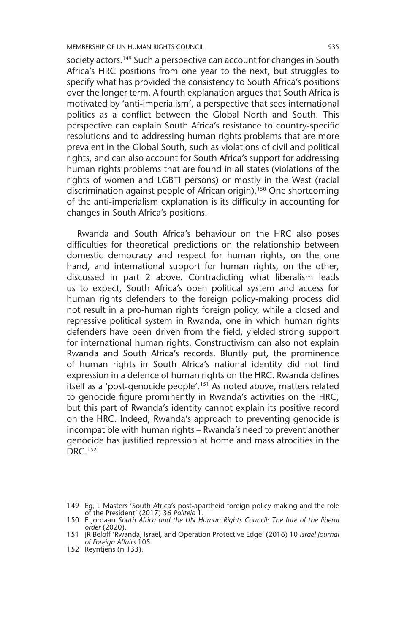society actors.<sup>149</sup> Such a perspective can account for changes in South Africa's HRC positions from one year to the next, but struggles to specify what has provided the consistency to South Africa's positions over the longer term. A fourth explanation argues that South Africa is motivated by 'anti-imperialism', a perspective that sees international politics as a conflict between the Global North and South. This perspective can explain South Africa's resistance to country-specific resolutions and to addressing human rights problems that are more prevalent in the Global South, such as violations of civil and political rights, and can also account for South Africa's support for addressing human rights problems that are found in all states (violations of the rights of women and LGBTI persons) or mostly in the West (racial discrimination against people of African origin).<sup>150</sup> One shortcoming of the anti-imperialism explanation is its difficulty in accounting for changes in South Africa's positions.

Rwanda and South Africa's behaviour on the HRC also poses difficulties for theoretical predictions on the relationship between domestic democracy and respect for human rights, on the one hand, and international support for human rights, on the other, discussed in part 2 above. Contradicting what liberalism leads us to expect, South Africa's open political system and access for human rights defenders to the foreign policy-making process did not result in a pro-human rights foreign policy, while a closed and repressive political system in Rwanda, one in which human rights defenders have been driven from the field, yielded strong support for international human rights. Constructivism can also not explain Rwanda and South Africa's records. Bluntly put, the prominence of human rights in South Africa's national identity did not find expression in a defence of human rights on the HRC. Rwanda defines itself as a 'post-genocide people'.<sup>151</sup> As noted above, matters related to genocide figure prominently in Rwanda's activities on the HRC, but this part of Rwanda's identity cannot explain its positive record on the HRC. Indeed, Rwanda's approach to preventing genocide is incompatible with human rights – Rwanda's need to prevent another genocide has justified repression at home and mass atrocities in the DRC 152

152 Reyntjens (n 133).

<sup>149</sup> Eg, L Masters 'South Africa's post-apartheid foreign policy making and the role of the President' (2017) 36 *Politeia* 1. 150 E Jordaan *South Africa and the UN Human Rights Council: The fate of the liberal* 

*order* (2020).

<sup>151</sup> JR Beloff 'Rwanda, Israel, and Operation Protective Edge' (2016) 10 *Israel Journal of Foreign Affairs* 105.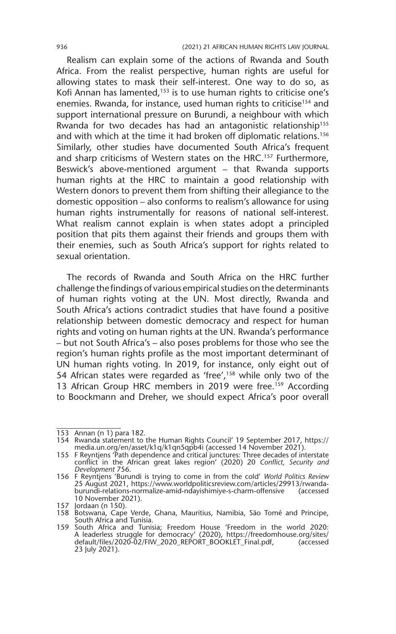Realism can explain some of the actions of Rwanda and South Africa. From the realist perspective, human rights are useful for allowing states to mask their self-interest. One way to do so, as Kofi Annan has lamented,<sup>153</sup> is to use human rights to criticise one's enemies. Rwanda, for instance, used human rights to criticise<sup>154</sup> and support international pressure on Burundi, a neighbour with which Rwanda for two decades has had an antagonistic relationship<sup>155</sup> and with which at the time it had broken off diplomatic relations.<sup>156</sup> Similarly, other studies have documented South Africa's frequent and sharp criticisms of Western states on the HRC.<sup>157</sup> Furthermore, Beswick's above-mentioned argument – that Rwanda supports human rights at the HRC to maintain a good relationship with Western donors to prevent them from shifting their allegiance to the domestic opposition – also conforms to realism's allowance for using human rights instrumentally for reasons of national self-interest. What realism cannot explain is when states adopt a principled position that pits them against their friends and groups them with their enemies, such as South Africa's support for rights related to sexual orientation.

The records of Rwanda and South Africa on the HRC further challenge the findings of various empirical studies on the determinants of human rights voting at the UN. Most directly, Rwanda and South Africa's actions contradict studies that have found a positive relationship between domestic democracy and respect for human rights and voting on human rights at the UN. Rwanda's performance – but not South Africa's – also poses problems for those who see the region's human rights profile as the most important determinant of UN human rights voting. In 2019, for instance, only eight out of 54 African states were regarded as 'free',<sup>158</sup> while only two of the 13 African Group HRC members in 2019 were free.<sup>159</sup> According to Boockmann and Dreher, we should expect Africa's poor overall

<sup>153</sup> Annan (n 1) para 182.

<sup>154</sup> Rwanda statement to the Human Rights Council' 19 September 2017, https:// media.un.org/en/asset/k1q/k1qn5qpb4i (accessed 14 November 2021).

<sup>155</sup> F Reyntjens 'Path dependence and critical junctures: Three decades of interstate conflict in the African great lakes region' (2020) 20 *Conflict, Security and Development* 756.

<sup>156</sup> F Reyntjens 'Burundi is trying to come in from the cold' *World Politics Review* 25 August 2021, https://www.worldpoliticsreview.com/articles/29913/rwandaburundi-relations-normalize-amid-ndayishimiye-s-charm-offensive (accessed 10 November 2021).

<sup>157</sup> Jordaan (n 150).

<sup>158</sup> Botswana, Cape Verde, Ghana, Mauritius, Namibia, São Tomé and Principe, South Africa and Tunisia.

<sup>159</sup> South Africa and Tunisia; Freedom House 'Freedom in the world 2020: A leaderless struggle for democracy' (2020), https://freedomhouse.org/sites/ default/files/2020-02/FIW\_2020\_REPORT\_BOOKLET\_Final.pdf, (accessed 23 July 2021).